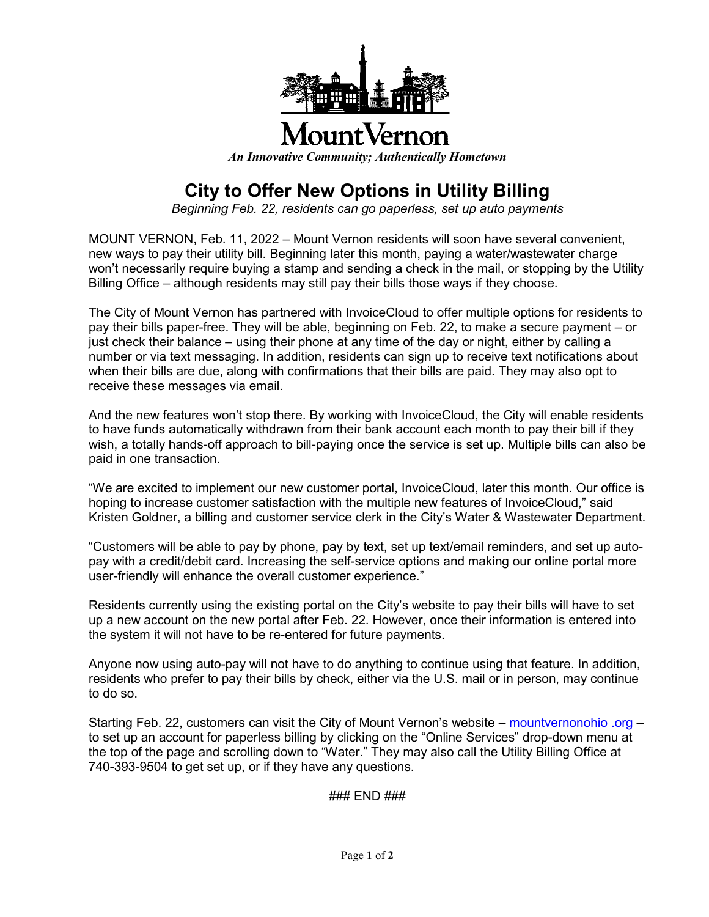

*An Innovative Community; Authentically Hometown*

## **City to Offer New Options in Utility Billing**

*Beginning Feb. 22, residents can go paperless, set up auto payments*

MOUNT VERNON, Feb. 11, 2022 – Mount Vernon residents will soon have several convenient, new ways to pay their utility bill. Beginning later this month, paying a water/wastewater charge won't necessarily require buying a stamp and sending a check in the mail, or stopping by the Utility Billing Office – although residents may still pay their bills those ways if they choose.

The City of Mount Vernon has partnered with InvoiceCloud to offer multiple options for residents to pay their bills paper-free. They will be able, beginning on Feb. 22, to make a secure payment – or just check their balance – using their phone at any time of the day or night, either by calling a number or via text messaging. In addition, residents can sign up to receive text notifications about when their bills are due, along with confirmations that their bills are paid. They may also opt to receive these messages via email.

And the new features won't stop there. By working with InvoiceCloud, the City will enable residents to have funds automatically withdrawn from their bank account each month to pay their bill if they wish, a totally hands-off approach to bill-paying once the service is set up. Multiple bills can also be paid in one transaction.

"We are excited to implement our new customer portal, InvoiceCloud, later this month. Our office is hoping to increase customer satisfaction with the multiple new features of InvoiceCloud," said Kristen Goldner, a billing and customer service clerk in the City's Water & Wastewater Department.

"Customers will be able to pay by phone, pay by text, set up text/email reminders, and set up autopay with a credit/debit card. Increasing the self-service options and making our online portal more user-friendly will enhance the overall customer experience."

Residents currently using the existing portal on the City's website to pay their bills will have to set up a new account on the new portal after Feb. 22. However, once their information is entered into the system it will not have to be re-entered for future payments.

Anyone now using auto-pay will not have to do anything to continue using that feature. In addition, residents who prefer to pay their bills by check, either via the U.S. mail or in person, may continue to do so.

Starting Feb. 22, customers can visit the City of Mount Vernon's website – mountvernonohio .org – to set up an account for paperless billing by clicking on the "Online Services" drop-down menu at the top of the page and scrolling down to "Water." They may also call the Utility Billing Office at 740-393-9504 to get set up, or if they have any questions.

### END ###